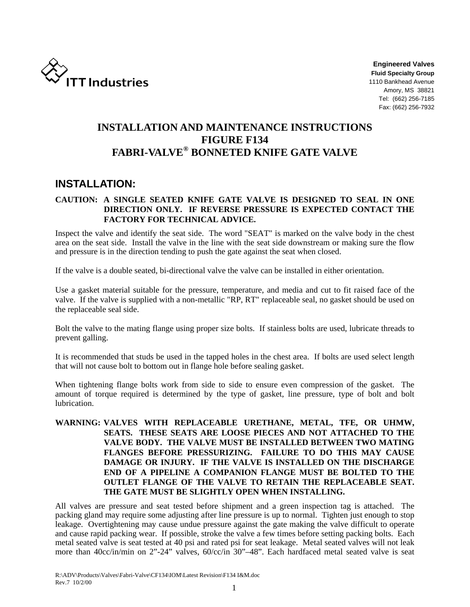

**Engineered Valves Fluid Specialty Group**  1110 Bankhead Avenue Amory, MS 38821 Tel: (662) 256-7185 Fax: (662) 256-7932

# **INSTALLATION AND MAINTENANCE INSTRUCTIONS FIGURE F134 FABRI-VALVE® BONNETED KNIFE GATE VALVE**

# **INSTALLATION:**

# **CAUTION: A SINGLE SEATED KNIFE GATE VALVE IS DESIGNED TO SEAL IN ONE DIRECTION ONLY. IF REVERSE PRESSURE IS EXPECTED CONTACT THE FACTORY FOR TECHNICAL ADVICE.**

Inspect the valve and identify the seat side. The word "SEAT" is marked on the valve body in the chest area on the seat side. Install the valve in the line with the seat side downstream or making sure the flow and pressure is in the direction tending to push the gate against the seat when closed.

If the valve is a double seated, bi-directional valve the valve can be installed in either orientation.

Use a gasket material suitable for the pressure, temperature, and media and cut to fit raised face of the valve. If the valve is supplied with a non-metallic "RP, RT" replaceable seal, no gasket should be used on the replaceable seal side.

Bolt the valve to the mating flange using proper size bolts. If stainless bolts are used, lubricate threads to prevent galling.

It is recommended that studs be used in the tapped holes in the chest area. If bolts are used select length that will not cause bolt to bottom out in flange hole before sealing gasket.

When tightening flange bolts work from side to side to ensure even compression of the gasket. The amount of torque required is determined by the type of gasket, line pressure, type of bolt and bolt lubrication.

# **WARNING: VALVES WITH REPLACEABLE URETHANE, METAL, TFE, OR UHMW, SEATS. THESE SEATS ARE LOOSE PIECES AND NOT ATTACHED TO THE VALVE BODY. THE VALVE MUST BE INSTALLED BETWEEN TWO MATING FLANGES BEFORE PRESSURIZING. FAILURE TO DO THIS MAY CAUSE DAMAGE OR INJURY. IF THE VALVE IS INSTALLED ON THE DISCHARGE END OF A PIPELINE A COMPANION FLANGE MUST BE BOLTED TO THE OUTLET FLANGE OF THE VALVE TO RETAIN THE REPLACEABLE SEAT. THE GATE MUST BE SLIGHTLY OPEN WHEN INSTALLING.**

All valves are pressure and seat tested before shipment and a green inspection tag is attached. The packing gland may require some adjusting after line pressure is up to normal. Tighten just enough to stop leakage. Overtightening may cause undue pressure against the gate making the valve difficult to operate and cause rapid packing wear. If possible, stroke the valve a few times before setting packing bolts. Each metal seated valve is seat tested at 40 psi and rated psi for seat leakage. Metal seated valves will not leak more than 40cc/in/min on 2"-24" valves, 60/cc/in 30"–48". Each hardfaced metal seated valve is seat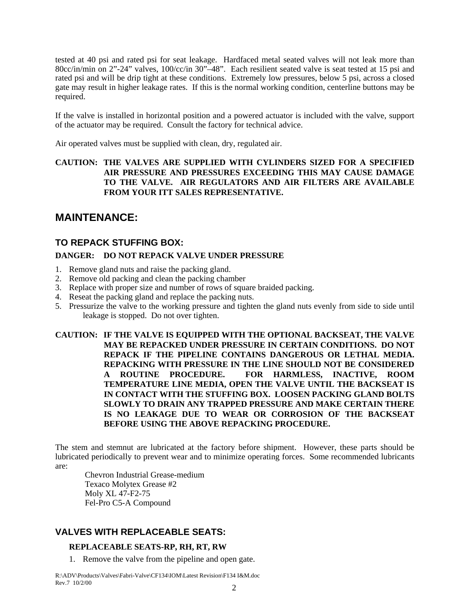tested at 40 psi and rated psi for seat leakage. Hardfaced metal seated valves will not leak more than 80cc/in/min on 2"-24" valves, 100/cc/in 30"–48". Each resilient seated valve is seat tested at 15 psi and rated psi and will be drip tight at these conditions. Extremely low pressures, below 5 psi, across a closed gate may result in higher leakage rates. If this is the normal working condition, centerline buttons may be required.

If the valve is installed in horizontal position and a powered actuator is included with the valve, support of the actuator may be required. Consult the factory for technical advice.

Air operated valves must be supplied with clean, dry, regulated air.

# **CAUTION: THE VALVES ARE SUPPLIED WITH CYLINDERS SIZED FOR A SPECIFIED AIR PRESSURE AND PRESSURES EXCEEDING THIS MAY CAUSE DAMAGE TO THE VALVE. AIR REGULATORS AND AIR FILTERS ARE AVAILABLE FROM YOUR ITT SALES REPRESENTATIVE.**

# **MAINTENANCE:**

# **TO REPACK STUFFING BOX:**

# **DANGER: DO NOT REPACK VALVE UNDER PRESSURE**

- 1. Remove gland nuts and raise the packing gland.
- 2. Remove old packing and clean the packing chamber
- 3. Replace with proper size and number of rows of square braided packing.
- 4. Reseat the packing gland and replace the packing nuts.
- 5. Pressurize the valve to the working pressure and tighten the gland nuts evenly from side to side until leakage is stopped. Do not over tighten.

**CAUTION: IF THE VALVE IS EQUIPPED WITH THE OPTIONAL BACKSEAT, THE VALVE MAY BE REPACKED UNDER PRESSURE IN CERTAIN CONDITIONS. DO NOT REPACK IF THE PIPELINE CONTAINS DANGEROUS OR LETHAL MEDIA. REPACKING WITH PRESSURE IN THE LINE SHOULD NOT BE CONSIDERED A ROUTINE PROCEDURE. FOR HARMLESS, INACTIVE, ROOM TEMPERATURE LINE MEDIA, OPEN THE VALVE UNTIL THE BACKSEAT IS IN CONTACT WITH THE STUFFING BOX. LOOSEN PACKING GLAND BOLTS SLOWLY TO DRAIN ANY TRAPPED PRESSURE AND MAKE CERTAIN THERE IS NO LEAKAGE DUE TO WEAR OR CORROSION OF THE BACKSEAT BEFORE USING THE ABOVE REPACKING PROCEDURE.** 

The stem and stemnut are lubricated at the factory before shipment. However, these parts should be lubricated periodically to prevent wear and to minimize operating forces. Some recommended lubricants are:

 Chevron Industrial Grease-medium Texaco Molytex Grease #2 Moly XL 47-F2-75 Fel-Pro C5-A Compound

# **VALVES WITH REPLACEABLE SEATS:**

### **REPLACEABLE SEATS-RP, RH, RT, RW**

1. Remove the valve from the pipeline and open gate.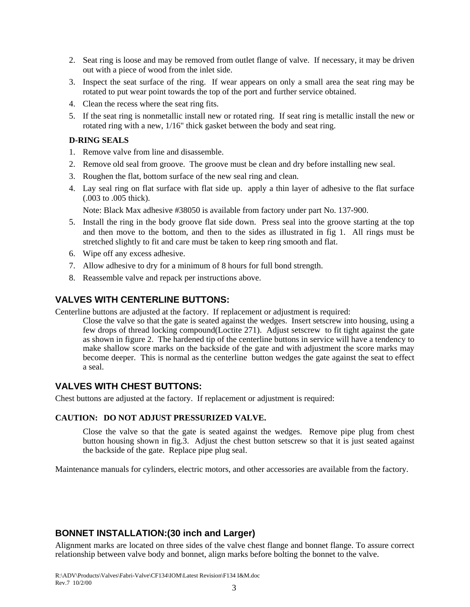- 2. Seat ring is loose and may be removed from outlet flange of valve. If necessary, it may be driven out with a piece of wood from the inlet side.
- 3. Inspect the seat surface of the ring. If wear appears on only a small area the seat ring may be rotated to put wear point towards the top of the port and further service obtained.
- 4. Clean the recess where the seat ring fits.
- 5. If the seat ring is nonmetallic install new or rotated ring. If seat ring is metallic install the new or rotated ring with a new, 1/16" thick gasket between the body and seat ring.

### **D-RING SEALS**

- 1. Remove valve from line and disassemble.
- 2. Remove old seal from groove. The groove must be clean and dry before installing new seal.
- 3. Roughen the flat, bottom surface of the new seal ring and clean.
- 4. Lay seal ring on flat surface with flat side up. apply a thin layer of adhesive to the flat surface (.003 to .005 thick).

Note: Black Max adhesive #38050 is available from factory under part No. 137-900.

- 5. Install the ring in the body groove flat side down. Press seal into the groove starting at the top and then move to the bottom, and then to the sides as illustrated in fig 1. All rings must be stretched slightly to fit and care must be taken to keep ring smooth and flat.
- 6. Wipe off any excess adhesive.
- 7. Allow adhesive to dry for a minimum of 8 hours for full bond strength.
- 8. Reassemble valve and repack per instructions above.

# **VALVES WITH CENTERLINE BUTTONS:**

Centerline buttons are adjusted at the factory. If replacement or adjustment is required:

Close the valve so that the gate is seated against the wedges. Insert setscrew into housing, using a few drops of thread locking compound(Loctite 271). Adjust setscrew to fit tight against the gate as shown in figure 2. The hardened tip of the centerline buttons in service will have a tendency to make shallow score marks on the backside of the gate and with adjustment the score marks may become deeper. This is normal as the centerline button wedges the gate against the seat to effect a seal.

# **VALVES WITH CHEST BUTTONS:**

Chest buttons are adjusted at the factory. If replacement or adjustment is required:

# **CAUTION: DO NOT ADJUST PRESSURIZED VALVE.**

Close the valve so that the gate is seated against the wedges. Remove pipe plug from chest button housing shown in fig.3. Adjust the chest button setscrew so that it is just seated against the backside of the gate. Replace pipe plug seal.

Maintenance manuals for cylinders, electric motors, and other accessories are available from the factory.

# **BONNET INSTALLATION:(30 inch and Larger)**

Alignment marks are located on three sides of the valve chest flange and bonnet flange. To assure correct relationship between valve body and bonnet, align marks before bolting the bonnet to the valve.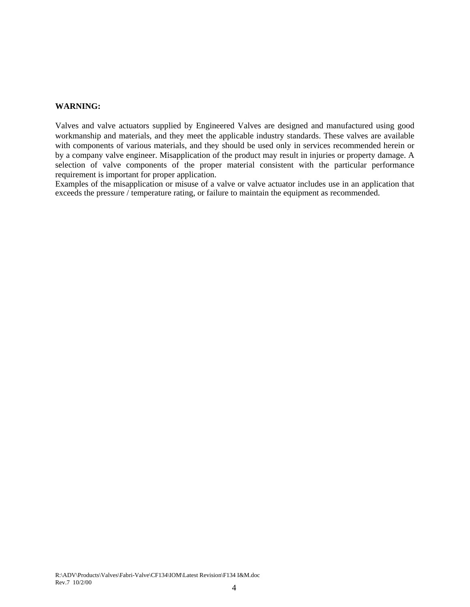#### **WARNING:**

Valves and valve actuators supplied by Engineered Valves are designed and manufactured using good workmanship and materials, and they meet the applicable industry standards. These valves are available with components of various materials, and they should be used only in services recommended herein or by a company valve engineer. Misapplication of the product may result in injuries or property damage. A selection of valve components of the proper material consistent with the particular performance requirement is important for proper application.

Examples of the misapplication or misuse of a valve or valve actuator includes use in an application that exceeds the pressure / temperature rating, or failure to maintain the equipment as recommended.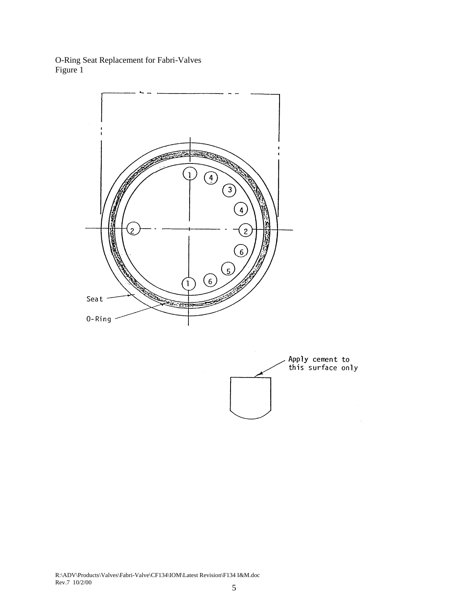O-Ring Seat Replacement for Fabri-Valves Figure 1





R:\ADV\Products\Valves\Fabri-Valve\CF134\IOM\Latest Revision\F134 I&M.doc Rev.7 10/2/00